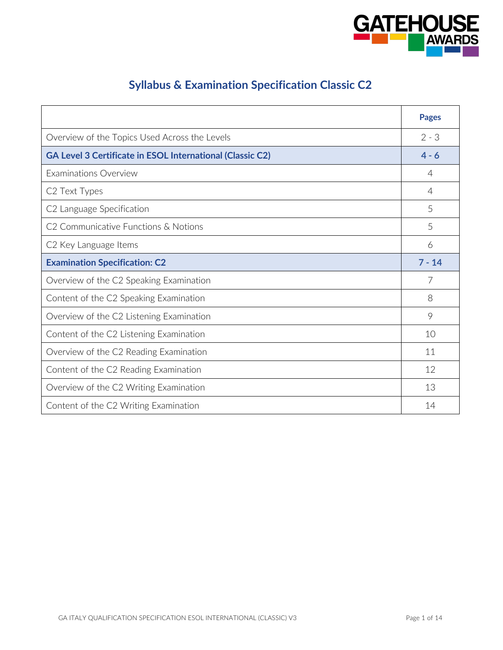

# **Syllabus & Examination Specification Classic C2**

|                                                                  | <b>Pages</b>   |
|------------------------------------------------------------------|----------------|
| Overview of the Topics Used Across the Levels                    | $2 - 3$        |
| <b>GA Level 3 Certificate in ESOL International (Classic C2)</b> | $4 - 6$        |
| Examinations Overview                                            | $\overline{4}$ |
| C <sub>2</sub> Text Types                                        | $\overline{4}$ |
| C2 Language Specification                                        | 5              |
| C <sub>2</sub> Communicative Functions & Notions                 | 5              |
| C <sub>2</sub> Key Language Items                                | 6              |
| <b>Examination Specification: C2</b>                             | $7 - 14$       |
| Overview of the C2 Speaking Examination                          | 7              |
| Content of the C2 Speaking Examination                           | 8              |
| Overview of the C2 Listening Examination                         | 9              |
| Content of the C2 Listening Examination                          | 10             |
| Overview of the C2 Reading Examination                           | 11             |
| Content of the C2 Reading Examination                            | 12             |
| Overview of the C2 Writing Examination                           | 13             |
| Content of the C2 Writing Examination                            | 14             |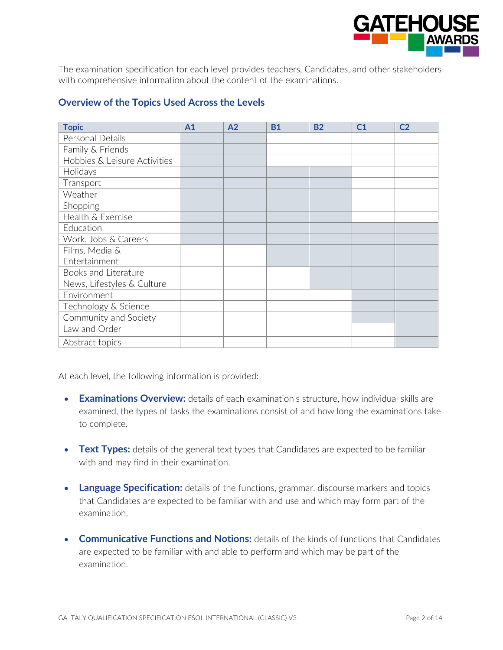

The examination specification for each level provides teachers, Candidates, and other stakeholders with comprehensive information about the content of the examinations.

#### **Overview of the Topics Used Across the Levels**

| <b>Topic</b>                 | A <sub>1</sub> | A2 | <b>B1</b> | <b>B2</b> | C <sub>1</sub> | C <sub>2</sub> |
|------------------------------|----------------|----|-----------|-----------|----------------|----------------|
| Personal Details             |                |    |           |           |                |                |
| Family & Friends             |                |    |           |           |                |                |
| Hobbies & Leisure Activities |                |    |           |           |                |                |
| Holidays                     |                |    |           |           |                |                |
| Transport                    |                |    |           |           |                |                |
| Weather                      |                |    |           |           |                |                |
| Shopping                     |                |    |           |           |                |                |
| Health & Exercise            |                |    |           |           |                |                |
| Education                    |                |    |           |           |                |                |
| Work, Jobs & Careers         |                |    |           |           |                |                |
| Films, Media &               |                |    |           |           |                |                |
| Entertainment                |                |    |           |           |                |                |
| Books and Literature         |                |    |           |           |                |                |
| News, Lifestyles & Culture   |                |    |           |           |                |                |
| Environment                  |                |    |           |           |                |                |
| Technology & Science         |                |    |           |           |                |                |
| Community and Society        |                |    |           |           |                |                |
| Law and Order                |                |    |           |           |                |                |
| Abstract topics              |                |    |           |           |                |                |

At each level, the following information is provided:

- **Examinations Overview:** details of each examination's structure, how individual skills are examined, the types of tasks the examinations consist of and how long the examinations take to complete.
- Text Types: details of the general text types that Candidates are expected to be familiar with and may find in their examination.
- **Language Specification:** details of the functions, grammar, discourse markers and topics that Candidates are expected to be familiar with and use and which may form part of the examination.
- **Communicative Functions and Notions:** details of the kinds of functions that Candidates are expected to be familiar with and able to perform and which may be part of the examination.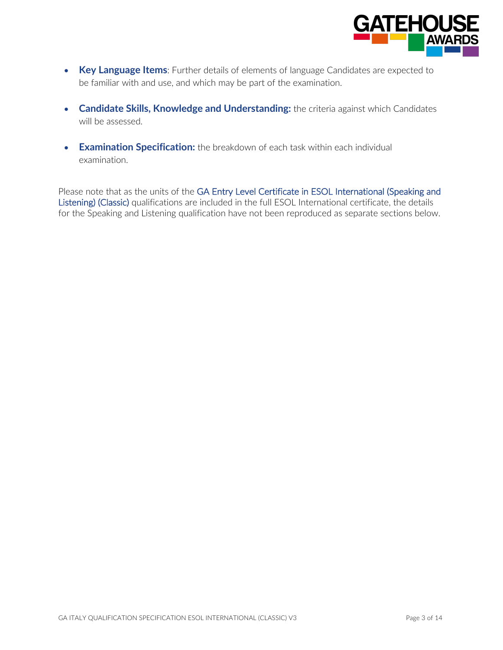

- **Key Language Items**: Further details of elements of language Candidates are expected to be familiar with and use, and which may be part of the examination.
- **Candidate Skills, Knowledge and Understanding:** the criteria against which Candidates will be assessed.
- **Examination Specification:** the breakdown of each task within each individual examination.

Please note that as the units of the GA Entry Level Certificate in ESOL International (Speaking and Listening) (Classic) qualifications are included in the full ESOL International certificate, the details for the Speaking and Listening qualification have not been reproduced as separate sections below.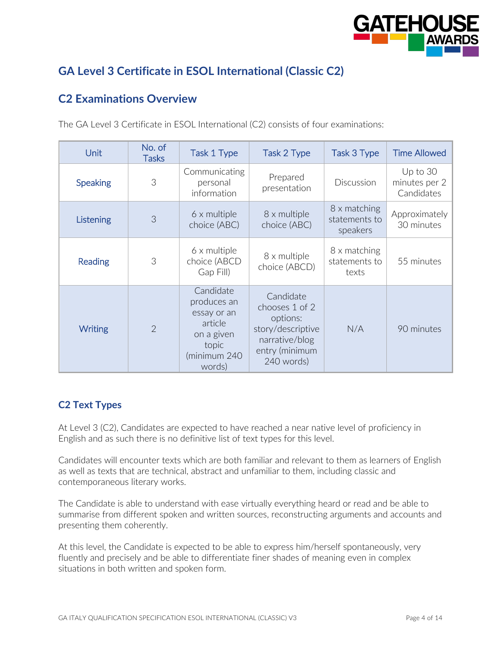

# **GA Level 3 Certificate in ESOL International (Classic C2)**

# **C2 Examinations Overview**

| Unit            | No. of<br><b>Tasks</b> | Task 1 Type                                                                                         | Task 2 Type                                                                                                    | Task 3 Type                               | <b>Time Allowed</b>                     |
|-----------------|------------------------|-----------------------------------------------------------------------------------------------------|----------------------------------------------------------------------------------------------------------------|-------------------------------------------|-----------------------------------------|
| <b>Speaking</b> | 3                      | Communicating<br>personal<br>information                                                            | Prepared<br>presentation                                                                                       | <b>Discussion</b>                         | Up to 30<br>minutes per 2<br>Candidates |
| Listening       | 3                      | 6 x multiple<br>choice (ABC)                                                                        | 8 x multiple<br>choice (ABC)                                                                                   | 8 x matching<br>statements to<br>speakers | Approximately<br>30 minutes             |
| Reading         | 3                      | 6 x multiple<br>choice (ABCD<br>Gap Fill)                                                           | 8 x multiple<br>choice (ABCD)                                                                                  | 8 x matching<br>statements to<br>texts    | 55 minutes                              |
| <b>Writing</b>  | $\overline{2}$         | Candidate<br>produces an<br>essay or an<br>article<br>on a given<br>topic<br>(minimum 240<br>words) | Candidate<br>chooses 1 of 2<br>options:<br>story/descriptive<br>narrative/blog<br>entry (minimum<br>240 words) | N/A                                       | 90 minutes                              |

The GA Level 3 Certificate in ESOL International (C2) consists of four examinations:

#### **C2 Text Types**

At Level 3 (C2), Candidates are expected to have reached a near native level of proficiency in English and as such there is no definitive list of text types for this level.

Candidates will encounter texts which are both familiar and relevant to them as learners of English as well as texts that are technical, abstract and unfamiliar to them, including classic and contemporaneous literary works.

The Candidate is able to understand with ease virtually everything heard or read and be able to summarise from different spoken and written sources, reconstructing arguments and accounts and presenting them coherently.

At this level, the Candidate is expected to be able to express him/herself spontaneously, very fluently and precisely and be able to differentiate finer shades of meaning even in complex situations in both written and spoken form.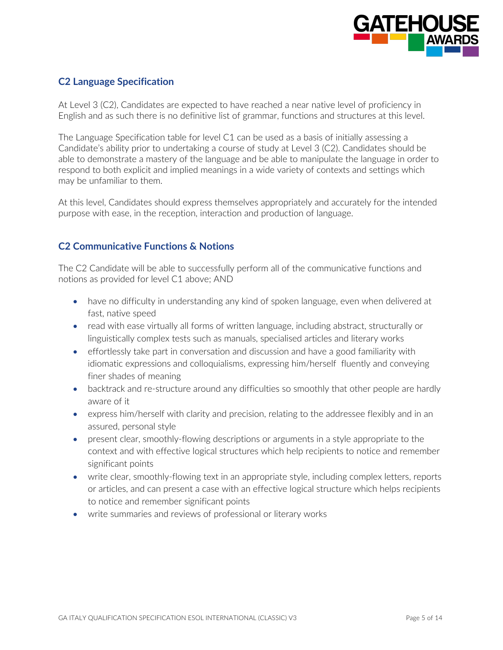

#### **C2 Language Specification**

At Level 3 (C2), Candidates are expected to have reached a near native level of proficiency in English and as such there is no definitive list of grammar, functions and structures at this level.

The Language Specification table for level C1 can be used as a basis of initially assessing a Candidate's ability prior to undertaking a course of study at Level 3 (C2). Candidates should be able to demonstrate a mastery of the language and be able to manipulate the language in order to respond to both explicit and implied meanings in a wide variety of contexts and settings which may be unfamiliar to them.

At this level, Candidates should express themselves appropriately and accurately for the intended purpose with ease, in the reception, interaction and production of language.

#### **C2 Communicative Functions & Notions**

The C2 Candidate will be able to successfully perform all of the communicative functions and notions as provided for level C1 above; AND

- have no difficulty in understanding any kind of spoken language, even when delivered at fast, native speed
- read with ease virtually all forms of written language, including abstract, structurally or linguistically complex tests such as manuals, specialised articles and literary works
- effortlessly take part in conversation and discussion and have a good familiarity with idiomatic expressions and colloquialisms, expressing him/herself fluently and conveying finer shades of meaning
- backtrack and re-structure around any difficulties so smoothly that other people are hardly aware of it
- express him/herself with clarity and precision, relating to the addressee flexibly and in an assured, personal style
- present clear, smoothly-flowing descriptions or arguments in a style appropriate to the context and with effective logical structures which help recipients to notice and remember significant points
- write clear, smoothly-flowing text in an appropriate style, including complex letters, reports or articles, and can present a case with an effective logical structure which helps recipients to notice and remember significant points
- write summaries and reviews of professional or literary works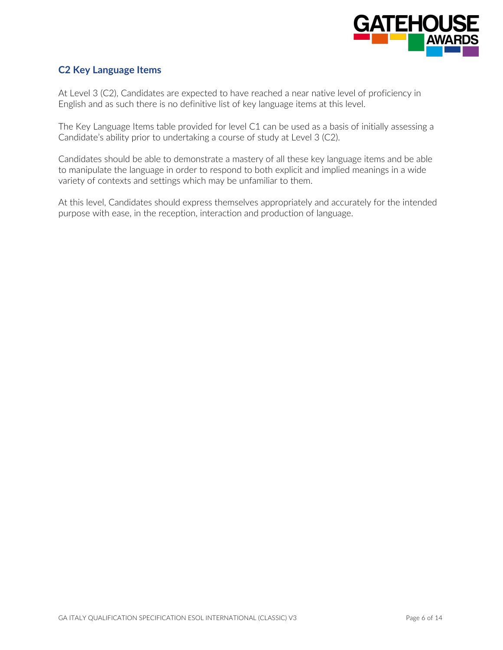

#### **C2 Key Language Items**

At Level 3 (C2), Candidates are expected to have reached a near native level of proficiency in English and as such there is no definitive list of key language items at this level.

The Key Language Items table provided for level C1 can be used as a basis of initially assessing a Candidate's ability prior to undertaking a course of study at Level 3 (C2).

Candidates should be able to demonstrate a mastery of all these key language items and be able to manipulate the language in order to respond to both explicit and implied meanings in a wide variety of contexts and settings which may be unfamiliar to them.

At this level, Candidates should express themselves appropriately and accurately for the intended purpose with ease, in the reception, interaction and production of language.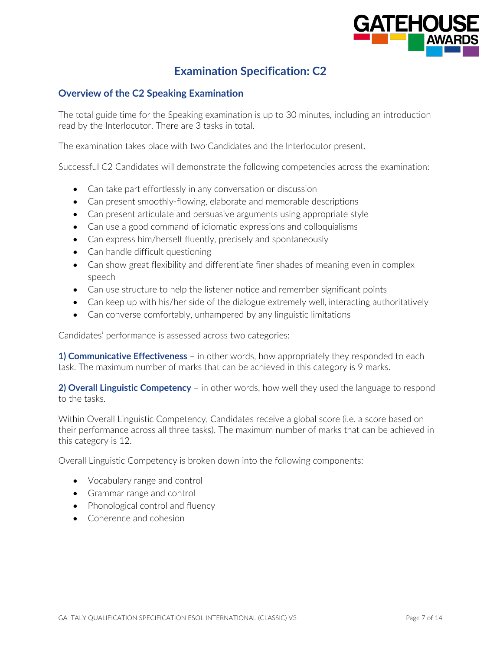

# **Examination Specification: C2**

#### **Overview of the C2 Speaking Examination**

The total guide time for the Speaking examination is up to 30 minutes, including an introduction read by the Interlocutor. There are 3 tasks in total.

The examination takes place with two Candidates and the Interlocutor present.

Successful C2 Candidates will demonstrate the following competencies across the examination:

- Can take part effortlessly in any conversation or discussion
- Can present smoothly-flowing, elaborate and memorable descriptions
- Can present articulate and persuasive arguments using appropriate style
- Can use a good command of idiomatic expressions and colloquialisms
- Can express him/herself fluently, precisely and spontaneously
- Can handle difficult questioning
- Can show great flexibility and differentiate finer shades of meaning even in complex speech
- Can use structure to help the listener notice and remember significant points
- Can keep up with his/her side of the dialogue extremely well, interacting authoritatively
- Can converse comfortably, unhampered by any linguistic limitations

Candidates' performance is assessed across two categories:

**1) Communicative Effectiveness** – in other words, how appropriately they responded to each task. The maximum number of marks that can be achieved in this category is 9 marks.

**2) Overall Linguistic Competency** – in other words, how well they used the language to respond to the tasks.

Within Overall Linguistic Competency, Candidates receive a global score (i.e. a score based on their performance across all three tasks). The maximum number of marks that can be achieved in this category is 12.

Overall Linguistic Competency is broken down into the following components:

- Vocabulary range and control
- Grammar range and control
- Phonological control and fluency
- Coherence and cohesion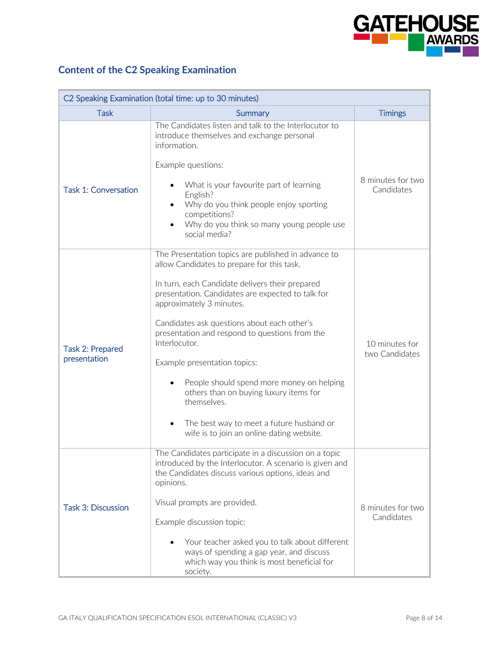

# **Content of the C2 Speaking Examination**

| C2 Speaking Examination (total time: up to 30 minutes) |                                                                                                                                                                                                                                                                                                                                                                                                                                                                                                                                                                                        |                                  |  |
|--------------------------------------------------------|----------------------------------------------------------------------------------------------------------------------------------------------------------------------------------------------------------------------------------------------------------------------------------------------------------------------------------------------------------------------------------------------------------------------------------------------------------------------------------------------------------------------------------------------------------------------------------------|----------------------------------|--|
| <b>Task</b>                                            | Summary                                                                                                                                                                                                                                                                                                                                                                                                                                                                                                                                                                                | <b>Timings</b>                   |  |
| <b>Task 1: Conversation</b>                            | The Candidates listen and talk to the Interlocutor to<br>introduce themselves and exchange personal<br>information.<br>Example questions:<br>What is your favourite part of learning<br>English?<br>Why do you think people enjoy sporting<br>competitions?<br>Why do you think so many young people use<br>social media?                                                                                                                                                                                                                                                              | 8 minutes for two<br>Candidates  |  |
| Task 2: Prepared<br>presentation                       | The Presentation topics are published in advance to<br>allow Candidates to prepare for this task.<br>In turn, each Candidate delivers their prepared<br>presentation. Candidates are expected to talk for<br>approximately 3 minutes.<br>Candidates ask questions about each other's<br>presentation and respond to questions from the<br>Interlocutor.<br>Example presentation topics:<br>People should spend more money on helping<br>others than on buying luxury items for<br>themselves.<br>The best way to meet a future husband or<br>wife is to join an online dating website. | 10 minutes for<br>two Candidates |  |
| <b>Task 3: Discussion</b>                              | The Candidates participate in a discussion on a topic<br>introduced by the Interlocutor. A scenario is given and<br>the Candidates discuss various options, ideas and<br>opinions.<br>Visual prompts are provided.<br>Example discussion topic:<br>Your teacher asked you to talk about different<br>ways of spending a gap year, and discuss<br>which way you think is most beneficial for<br>society.                                                                                                                                                                                | 8 minutes for two<br>Candidates  |  |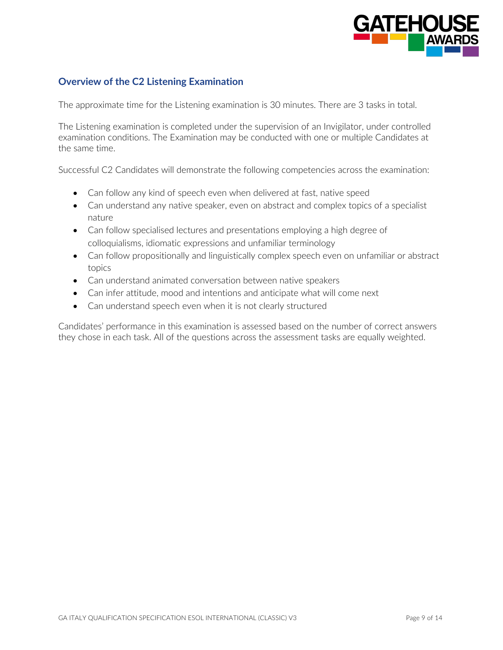

#### **Overview of the C2 Listening Examination**

The approximate time for the Listening examination is 30 minutes. There are 3 tasks in total.

The Listening examination is completed under the supervision of an Invigilator, under controlled examination conditions. The Examination may be conducted with one or multiple Candidates at the same time.

Successful C2 Candidates will demonstrate the following competencies across the examination:

- Can follow any kind of speech even when delivered at fast, native speed
- Can understand any native speaker, even on abstract and complex topics of a specialist nature
- Can follow specialised lectures and presentations employing a high degree of colloquialisms, idiomatic expressions and unfamiliar terminology
- Can follow propositionally and linguistically complex speech even on unfamiliar or abstract topics
- Can understand animated conversation between native speakers
- Can infer attitude, mood and intentions and anticipate what will come next
- Can understand speech even when it is not clearly structured

Candidates' performance in this examination is assessed based on the number of correct answers they chose in each task. All of the questions across the assessment tasks are equally weighted.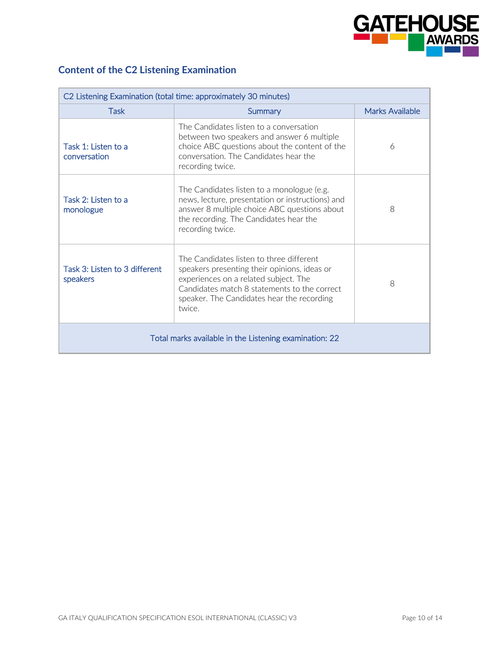

# **Content of the C2 Listening Examination**

| C2 Listening Examination (total time: approximately 30 minutes) |                                                                                                                                                                                                                                           |                 |  |
|-----------------------------------------------------------------|-------------------------------------------------------------------------------------------------------------------------------------------------------------------------------------------------------------------------------------------|-----------------|--|
| <b>Task</b>                                                     | Summary                                                                                                                                                                                                                                   | Marks Available |  |
| Task 1: Listen to a<br>conversation                             | The Candidates listen to a conversation<br>between two speakers and answer 6 multiple<br>choice ABC questions about the content of the<br>conversation. The Candidates hear the<br>recording twice.                                       | 6               |  |
| Task 2: Listen to a<br>monologue                                | The Candidates listen to a monologue (e.g.<br>news, lecture, presentation or instructions) and<br>answer 8 multiple choice ABC questions about<br>the recording. The Candidates hear the<br>recording twice.                              | 8               |  |
| Task 3: Listen to 3 different<br>speakers                       | The Candidates listen to three different<br>speakers presenting their opinions, ideas or<br>experiences on a related subject. The<br>Candidates match 8 statements to the correct<br>speaker. The Candidates hear the recording<br>twice. | 8               |  |
| Total marks available in the Listening examination: 22          |                                                                                                                                                                                                                                           |                 |  |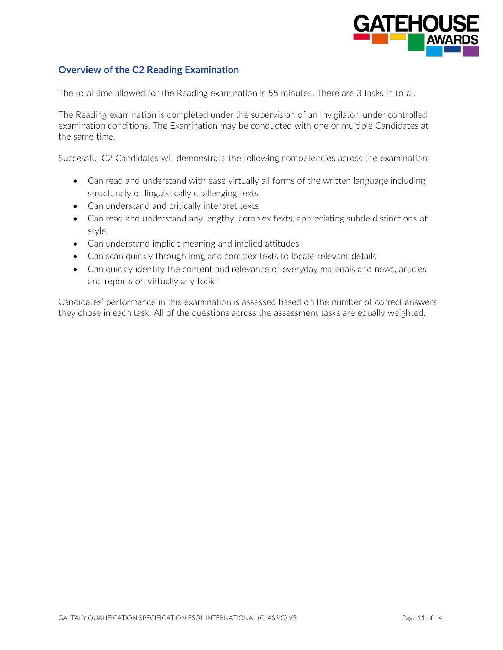

#### **Overview of the C2 Reading Examination**

The total time allowed for the Reading examination is 55 minutes. There are 3 tasks in total.

The Reading examination is completed under the supervision of an Invigilator, under controlled examination conditions. The Examination may be conducted with one or multiple Candidates at the same time.

Successful C2 Candidates will demonstrate the following competencies across the examination:

- Can read and understand with ease virtually all forms of the written language including structurally or linguistically challenging texts
- Can understand and critically interpret texts
- Can read and understand any lengthy, complex texts, appreciating subtle distinctions of style
- Can understand implicit meaning and implied attitudes
- Can scan quickly through long and complex texts to locate relevant details
- Can quickly identify the content and relevance of everyday materials and news, articles and reports on virtually any topic

Candidates' performance in this examination is assessed based on the number of correct answers they chose in each task. All of the questions across the assessment tasks are equally weighted.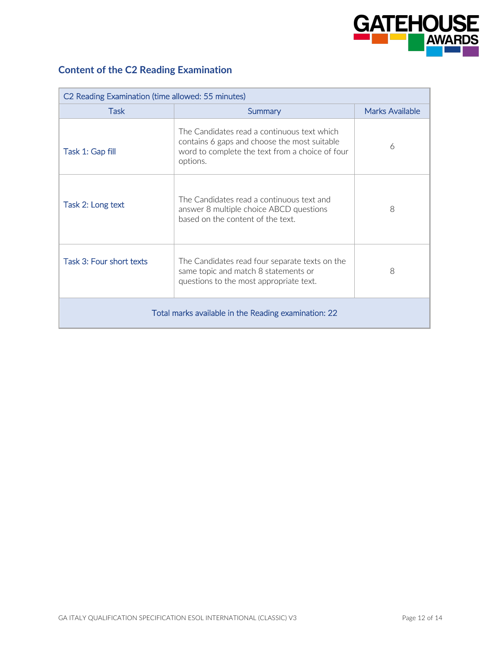

# **Content of the C2 Reading Examination**

| C2 Reading Examination (time allowed: 55 minutes)    |                                                                                                                                                            |                        |  |
|------------------------------------------------------|------------------------------------------------------------------------------------------------------------------------------------------------------------|------------------------|--|
| Task                                                 | Summary                                                                                                                                                    | <b>Marks Available</b> |  |
| Task 1: Gap fill                                     | The Candidates read a continuous text which<br>contains 6 gaps and choose the most suitable<br>word to complete the text from a choice of four<br>options. | 6                      |  |
| Task 2: Long text                                    | The Candidates read a continuous text and<br>answer 8 multiple choice ABCD questions<br>based on the content of the text.                                  | 8                      |  |
| Task 3: Four short texts                             | The Candidates read four separate texts on the<br>same topic and match 8 statements or<br>questions to the most appropriate text.                          | 8                      |  |
| Total marks available in the Reading examination: 22 |                                                                                                                                                            |                        |  |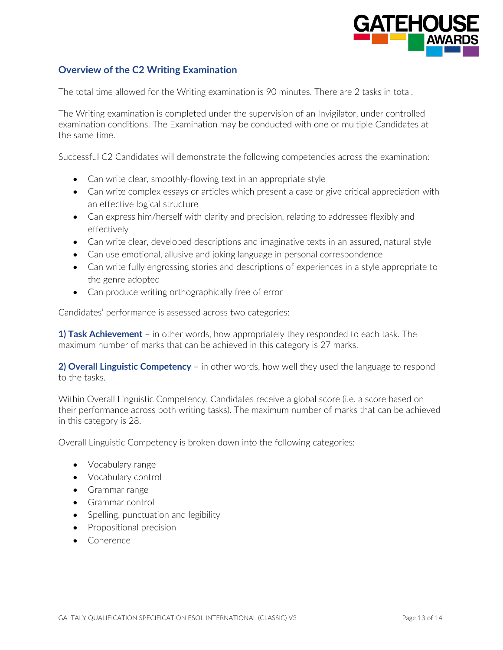

#### **Overview of the C2 Writing Examination**

The total time allowed for the Writing examination is 90 minutes. There are 2 tasks in total.

The Writing examination is completed under the supervision of an Invigilator, under controlled examination conditions. The Examination may be conducted with one or multiple Candidates at the same time.

Successful C2 Candidates will demonstrate the following competencies across the examination:

- Can write clear, smoothly-flowing text in an appropriate style
- Can write complex essays or articles which present a case or give critical appreciation with an effective logical structure
- Can express him/herself with clarity and precision, relating to addressee flexibly and effectively
- Can write clear, developed descriptions and imaginative texts in an assured, natural style
- Can use emotional, allusive and joking language in personal correspondence
- Can write fully engrossing stories and descriptions of experiences in a style appropriate to the genre adopted
- Can produce writing orthographically free of error

Candidates' performance is assessed across two categories:

**1) Task Achievement** – in other words, how appropriately they responded to each task. The maximum number of marks that can be achieved in this category is 27 marks.

**2) Overall Linguistic Competency** – in other words, how well they used the language to respond to the tasks.

Within Overall Linguistic Competency, Candidates receive a global score (i.e. a score based on their performance across both writing tasks). The maximum number of marks that can be achieved in this category is 28.

Overall Linguistic Competency is broken down into the following categories:

- Vocabulary range
- Vocabulary control
- Grammar range
- Grammar control
- Spelling, punctuation and legibility
- Propositional precision
- Coherence